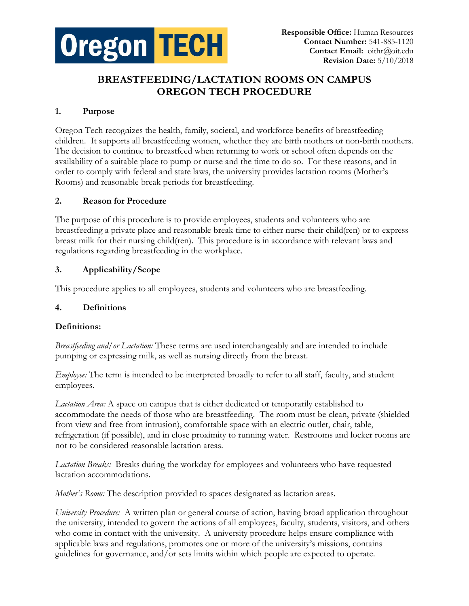

# **BREASTFEEDING/LACTATION ROOMS ON CAMPUS OREGON TECH PROCEDURE**

## **1. Purpose**

Oregon Tech recognizes the health, family, societal, and workforce benefits of breastfeeding children. It supports all breastfeeding women, whether they are birth mothers or non-birth mothers. The decision to continue to breastfeed when returning to work or school often depends on the availability of a suitable place to pump or nurse and the time to do so. For these reasons, and in order to comply with federal and state laws, the university provides lactation rooms (Mother's Rooms) and reasonable break periods for breastfeeding.

### **2. Reason for Procedure**

The purpose of this procedure is to provide employees, students and volunteers who are breastfeeding a private place and reasonable break time to either nurse their child(ren) or to express breast milk for their nursing child(ren). This procedure is in accordance with relevant laws and regulations regarding breastfeeding in the workplace.

### **3. Applicability/Scope**

This procedure applies to all employees, students and volunteers who are breastfeeding.

### **4. Definitions**

### **Definitions:**

*Breastfeeding and/or Lactation:* These terms are used interchangeably and are intended to include pumping or expressing milk, as well as nursing directly from the breast.

*Employee:* The term is intended to be interpreted broadly to refer to all staff, faculty, and student employees.

*Lactation Area:* A space on campus that is either dedicated or temporarily established to accommodate the needs of those who are breastfeeding. The room must be clean, private (shielded from view and free from intrusion), comfortable space with an electric outlet, chair, table, refrigeration (if possible), and in close proximity to running water. Restrooms and locker rooms are not to be considered reasonable lactation areas.

*Lactation Breaks:* Breaks during the workday for employees and volunteers who have requested lactation accommodations.

*Mother's Room:* The description provided to spaces designated as lactation areas.

*University Procedure:* A written plan or general course of action, having broad application throughout the university, intended to govern the actions of all employees, faculty, students, visitors, and others who come in contact with the university. A university procedure helps ensure compliance with applicable laws and regulations, promotes one or more of the university's missions, contains guidelines for governance, and/or sets limits within which people are expected to operate.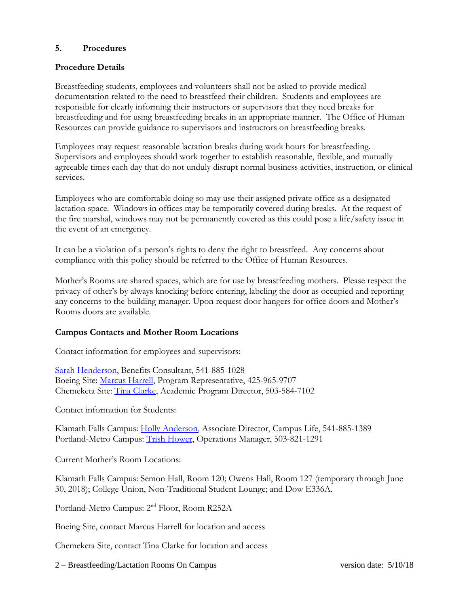### **5. Procedures**

#### **Procedure Details**

Breastfeeding students, employees and volunteers shall not be asked to provide medical documentation related to the need to breastfeed their children. Students and employees are responsible for clearly informing their instructors or supervisors that they need breaks for breastfeeding and for using breastfeeding breaks in an appropriate manner. The Office of Human Resources can provide guidance to supervisors and instructors on breastfeeding breaks.

Employees may request reasonable lactation breaks during work hours for breastfeeding. Supervisors and employees should work together to establish reasonable, flexible, and mutually agreeable times each day that do not unduly disrupt normal business activities, instruction, or clinical services.

Employees who are comfortable doing so may use their assigned private office as a designated lactation space. Windows in offices may be temporarily covered during breaks. At the request of the fire marshal, windows may not be permanently covered as this could pose a life/safety issue in the event of an emergency.

It can be a violation of a person's rights to deny the right to breastfeed. Any concerns about compliance with this policy should be referred to the Office of Human Resources.

Mother's Rooms are shared spaces, which are for use by breastfeeding mothers. Please respect the privacy of other's by always knocking before entering, labeling the door as occupied and reporting any concerns to the building manager. Upon request door hangers for office doors and Mother's Rooms doors are available.

#### **Campus Contacts and Mother Room Locations**

Contact information for employees and supervisors:

[Sarah Henderson,](mailto:sarah.henderson@oit.edu) Benefits Consultant, 541-885-1028 Boeing Site: [Marcus Harrell,](mailto:Marcus.Harrell@oit.edu) Program Representative, 425-965-9707 Chemeketa Site: [Tina Clarke,](mailto:Tina.clarke@oit.edu) Academic Program Director, 503-584-7102

Contact information for Students:

Klamath Falls Campus: [Holly Anderson,](mailto:holly.anderson@oit.edu) Associate Director, Campus Life, 541-885-1389 Portland-Metro Campus: [Trish Hower,](mailto:trish.hower@oit.edu) Operations Manager, 503-821-1291

Current Mother's Room Locations:

Klamath Falls Campus: Semon Hall, Room 120; Owens Hall, Room 127 (temporary through June 30, 2018); College Union, Non-Traditional Student Lounge; and Dow E336A.

Portland-Metro Campus: 2nd Floor, Room R252A

Boeing Site, contact Marcus Harrell for location and access

Chemeketa Site, contact Tina Clarke for location and access

2 – Breastfeeding/Lactation Rooms On Campus version date: 5/10/18